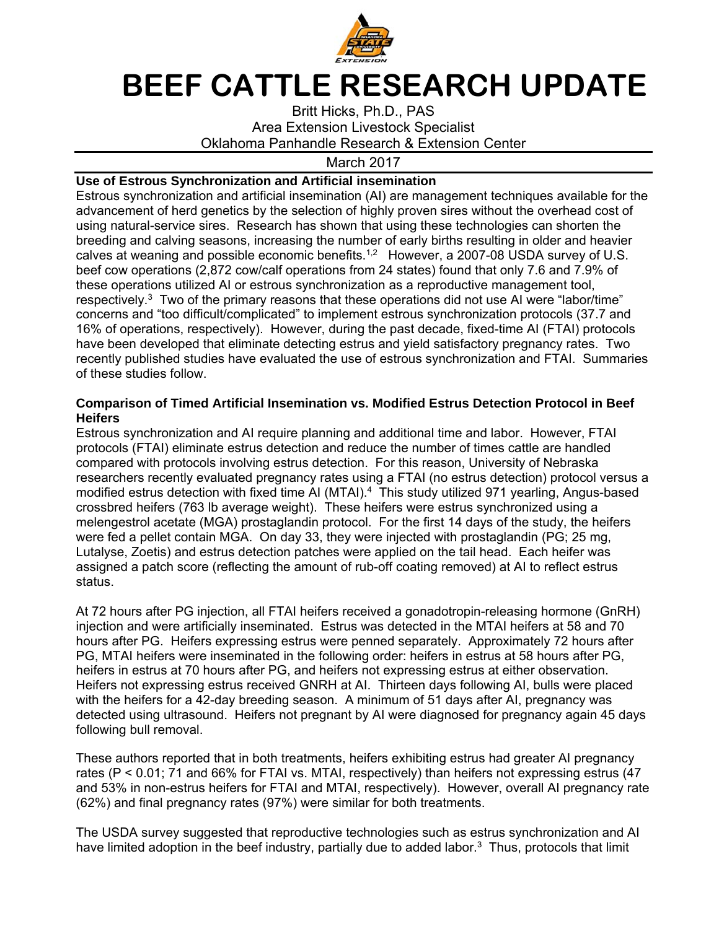

# **BEEF CATTLE RESEARCH UPDATE**

Britt Hicks, Ph.D., PAS Area Extension Livestock Specialist Oklahoma Panhandle Research & Extension Center

March 2017

## **Use of Estrous Synchronization and Artificial insemination**

Estrous synchronization and artificial insemination (AI) are management techniques available for the advancement of herd genetics by the selection of highly proven sires without the overhead cost of using natural-service sires. Research has shown that using these technologies can shorten the breeding and calving seasons, increasing the number of early births resulting in older and heavier calves at weaning and possible economic benefits.<sup>1,2</sup> However, a 2007-08 USDA survey of U.S. beef cow operations (2,872 cow/calf operations from 24 states) found that only 7.6 and 7.9% of these operations utilized AI or estrous synchronization as a reproductive management tool, respectively.3 Two of the primary reasons that these operations did not use AI were "labor/time" concerns and "too difficult/complicated" to implement estrous synchronization protocols (37.7 and 16% of operations, respectively). However, during the past decade, fixed-time AI (FTAI) protocols have been developed that eliminate detecting estrus and yield satisfactory pregnancy rates. Two recently published studies have evaluated the use of estrous synchronization and FTAI. Summaries of these studies follow.

### **Comparison of Timed Artificial Insemination vs. Modified Estrus Detection Protocol in Beef Heifers**

Estrous synchronization and AI require planning and additional time and labor. However, FTAI protocols (FTAI) eliminate estrus detection and reduce the number of times cattle are handled compared with protocols involving estrus detection. For this reason, University of Nebraska researchers recently evaluated pregnancy rates using a FTAI (no estrus detection) protocol versus a modified estrus detection with fixed time AI (MTAI).4 This study utilized 971 yearling, Angus-based crossbred heifers (763 lb average weight). These heifers were estrus synchronized using a melengestrol acetate (MGA) prostaglandin protocol. For the first 14 days of the study, the heifers were fed a pellet contain MGA. On day 33, they were injected with prostaglandin (PG; 25 mg, Lutalyse, Zoetis) and estrus detection patches were applied on the tail head. Each heifer was assigned a patch score (reflecting the amount of rub-off coating removed) at AI to reflect estrus status.

At 72 hours after PG injection, all FTAI heifers received a gonadotropin-releasing hormone (GnRH) injection and were artificially inseminated. Estrus was detected in the MTAI heifers at 58 and 70 hours after PG. Heifers expressing estrus were penned separately. Approximately 72 hours after PG, MTAI heifers were inseminated in the following order: heifers in estrus at 58 hours after PG, heifers in estrus at 70 hours after PG, and heifers not expressing estrus at either observation. Heifers not expressing estrus received GNRH at AI. Thirteen days following AI, bulls were placed with the heifers for a 42-day breeding season. A minimum of 51 days after AI, pregnancy was detected using ultrasound. Heifers not pregnant by AI were diagnosed for pregnancy again 45 days following bull removal.

These authors reported that in both treatments, heifers exhibiting estrus had greater AI pregnancy rates (P < 0.01; 71 and 66% for FTAI vs. MTAI, respectively) than heifers not expressing estrus (47 and 53% in non-estrus heifers for FTAI and MTAI, respectively). However, overall AI pregnancy rate (62%) and final pregnancy rates (97%) were similar for both treatments.

The USDA survey suggested that reproductive technologies such as estrus synchronization and AI have limited adoption in the beef industry, partially due to added labor. $3$  Thus, protocols that limit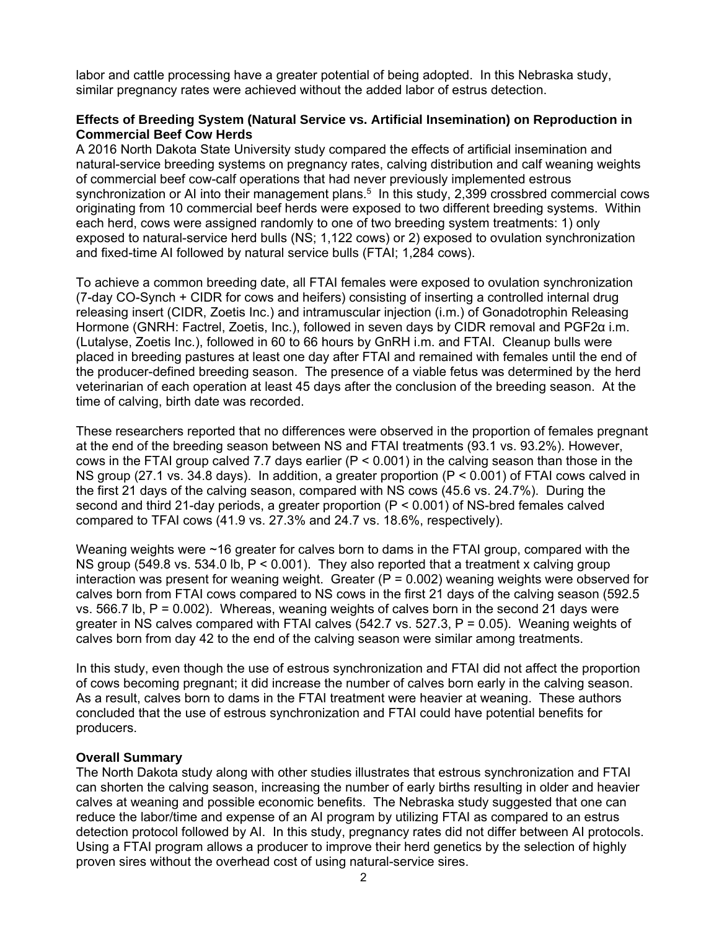labor and cattle processing have a greater potential of being adopted. In this Nebraska study, similar pregnancy rates were achieved without the added labor of estrus detection.

### **Effects of Breeding System (Natural Service vs. Artificial Insemination) on Reproduction in Commercial Beef Cow Herds**

A 2016 North Dakota State University study compared the effects of artificial insemination and natural-service breeding systems on pregnancy rates, calving distribution and calf weaning weights of commercial beef cow-calf operations that had never previously implemented estrous synchronization or AI into their management plans.<sup>5</sup> In this study, 2,399 crossbred commercial cows originating from 10 commercial beef herds were exposed to two different breeding systems. Within each herd, cows were assigned randomly to one of two breeding system treatments: 1) only exposed to natural-service herd bulls (NS; 1,122 cows) or 2) exposed to ovulation synchronization and fixed-time AI followed by natural service bulls (FTAI; 1,284 cows).

To achieve a common breeding date, all FTAI females were exposed to ovulation synchronization (7-day CO-Synch + CIDR for cows and heifers) consisting of inserting a controlled internal drug releasing insert (CIDR, Zoetis Inc.) and intramuscular injection (i.m.) of Gonadotrophin Releasing Hormone (GNRH: Factrel, Zoetis, Inc.), followed in seven days by CIDR removal and PGF2α i.m. (Lutalyse, Zoetis Inc.), followed in 60 to 66 hours by GnRH i.m. and FTAI. Cleanup bulls were placed in breeding pastures at least one day after FTAI and remained with females until the end of the producer-defined breeding season. The presence of a viable fetus was determined by the herd veterinarian of each operation at least 45 days after the conclusion of the breeding season. At the time of calving, birth date was recorded.

These researchers reported that no differences were observed in the proportion of females pregnant at the end of the breeding season between NS and FTAI treatments (93.1 vs. 93.2%). However, cows in the FTAI group calved 7.7 days earlier ( $P < 0.001$ ) in the calving season than those in the NS group (27.1 vs. 34.8 days). In addition, a greater proportion (P < 0.001) of FTAI cows calved in the first 21 days of the calving season, compared with NS cows (45.6 vs. 24.7%). During the second and third 21-day periods, a greater proportion (P < 0.001) of NS-bred females calved compared to TFAI cows (41.9 vs. 27.3% and 24.7 vs. 18.6%, respectively).

Weaning weights were ~16 greater for calves born to dams in the FTAI group, compared with the NS group (549.8 vs. 534.0 lb,  $P < 0.001$ ). They also reported that a treatment x calving group interaction was present for weaning weight. Greater  $(P = 0.002)$  weaning weights were observed for calves born from FTAI cows compared to NS cows in the first 21 days of the calving season (592.5 vs.  $566.7$  lb,  $P = 0.002$ ). Whereas, weaning weights of calves born in the second 21 days were greater in NS calves compared with FTAI calves (542.7 vs. 527.3, P = 0.05). Weaning weights of calves born from day 42 to the end of the calving season were similar among treatments.

In this study, even though the use of estrous synchronization and FTAI did not affect the proportion of cows becoming pregnant; it did increase the number of calves born early in the calving season. As a result, calves born to dams in the FTAI treatment were heavier at weaning. These authors concluded that the use of estrous synchronization and FTAI could have potential benefits for producers.

### **Overall Summary**

The North Dakota study along with other studies illustrates that estrous synchronization and FTAI can shorten the calving season, increasing the number of early births resulting in older and heavier calves at weaning and possible economic benefits. The Nebraska study suggested that one can reduce the labor/time and expense of an AI program by utilizing FTAI as compared to an estrus detection protocol followed by AI. In this study, pregnancy rates did not differ between AI protocols. Using a FTAI program allows a producer to improve their herd genetics by the selection of highly proven sires without the overhead cost of using natural-service sires.